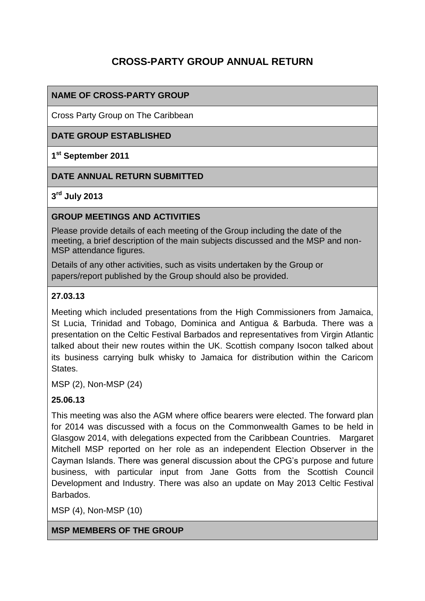# **CROSS-PARTY GROUP ANNUAL RETURN**

#### **NAME OF CROSS-PARTY GROUP**

Cross Party Group on The Caribbean

#### **DATE GROUP ESTABLISHED**

#### **1 st September 2011**

#### **DATE ANNUAL RETURN SUBMITTED**

#### **3 rd July 2013**

#### **GROUP MEETINGS AND ACTIVITIES**

Please provide details of each meeting of the Group including the date of the meeting, a brief description of the main subjects discussed and the MSP and non-MSP attendance figures.

Details of any other activities, such as visits undertaken by the Group or papers/report published by the Group should also be provided.

#### **27.03.13**

Meeting which included presentations from the High Commissioners from Jamaica, St Lucia, Trinidad and Tobago, Dominica and Antigua & Barbuda. There was a presentation on the Celtic Festival Barbados and representatives from Virgin Atlantic talked about their new routes within the UK. Scottish company Isocon talked about its business carrying bulk whisky to Jamaica for distribution within the Caricom **States** 

MSP (2), Non-MSP (24)

#### **25.06.13**

This meeting was also the AGM where office bearers were elected. The forward plan for 2014 was discussed with a focus on the Commonwealth Games to be held in Glasgow 2014, with delegations expected from the Caribbean Countries. Margaret Mitchell MSP reported on her role as an independent Election Observer in the Cayman Islands. There was general discussion about the CPG's purpose and future business, with particular input from Jane Gotts from the Scottish Council Development and Industry. There was also an update on May 2013 Celtic Festival Barbados.

MSP (4), Non-MSP (10)

**MSP MEMBERS OF THE GROUP**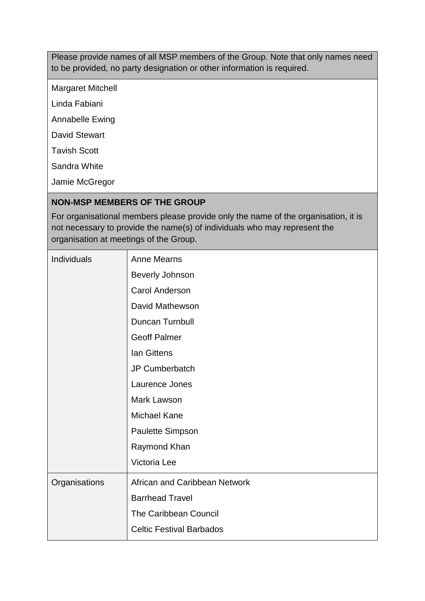Please provide names of all MSP members of the Group. Note that only names need to be provided, no party designation or other information is required.

Margaret Mitchell

Linda Fabiani

Annabelle Ewing

David Stewart

Tavish Scott

Sandra White

Jamie McGregor

#### **NON-MSP MEMBERS OF THE GROUP**

For organisational members please provide only the name of the organisation, it is not necessary to provide the name(s) of individuals who may represent the organisation at meetings of the Group.

| Individuals   | <b>Anne Mearns</b>              |
|---------------|---------------------------------|
|               | <b>Beverly Johnson</b>          |
|               | <b>Carol Anderson</b>           |
|               | David Mathewson                 |
|               | Duncan Turnbull                 |
|               | <b>Geoff Palmer</b>             |
|               | <b>Ian Gittens</b>              |
|               | JP Cumberbatch                  |
|               | Laurence Jones                  |
|               | Mark Lawson                     |
|               | <b>Michael Kane</b>             |
|               | Paulette Simpson                |
|               | Raymond Khan                    |
|               | Victoria Lee                    |
| Organisations | African and Caribbean Network   |
|               | <b>Barrhead Travel</b>          |
|               | <b>The Caribbean Council</b>    |
|               | <b>Celtic Festival Barbados</b> |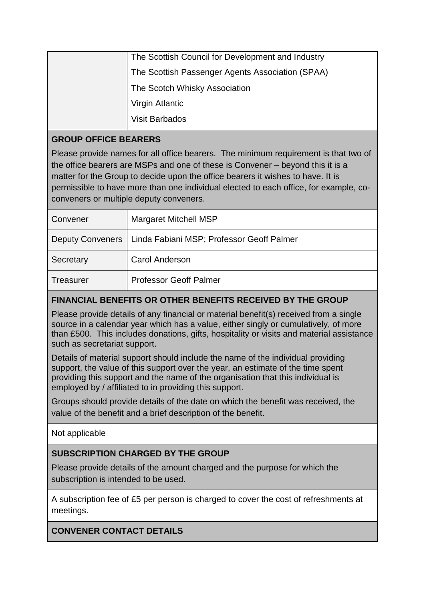### **GROUP OFFICE BEARERS**

Please provide names for all office bearers. The minimum requirement is that two of the office bearers are MSPs and one of these is Convener – beyond this it is a matter for the Group to decide upon the office bearers it wishes to have. It is permissible to have more than one individual elected to each office, for example, coconveners or multiple deputy conveners.

| Convener  | Margaret Mitchell MSP                                        |
|-----------|--------------------------------------------------------------|
|           | Deputy Conveners   Linda Fabiani MSP; Professor Geoff Palmer |
| Secretary | <b>Carol Anderson</b>                                        |
| Treasurer | <b>Professor Geoff Palmer</b>                                |

## **FINANCIAL BENEFITS OR OTHER BENEFITS RECEIVED BY THE GROUP**

Please provide details of any financial or material benefit(s) received from a single source in a calendar year which has a value, either singly or cumulatively, of more than £500. This includes donations, gifts, hospitality or visits and material assistance such as secretariat support.

Details of material support should include the name of the individual providing support, the value of this support over the year, an estimate of the time spent providing this support and the name of the organisation that this individual is employed by / affiliated to in providing this support.

Groups should provide details of the date on which the benefit was received, the value of the benefit and a brief description of the benefit.

Not applicable

### **SUBSCRIPTION CHARGED BY THE GROUP**

Please provide details of the amount charged and the purpose for which the subscription is intended to be used.

A subscription fee of £5 per person is charged to cover the cost of refreshments at meetings.

**CONVENER CONTACT DETAILS**